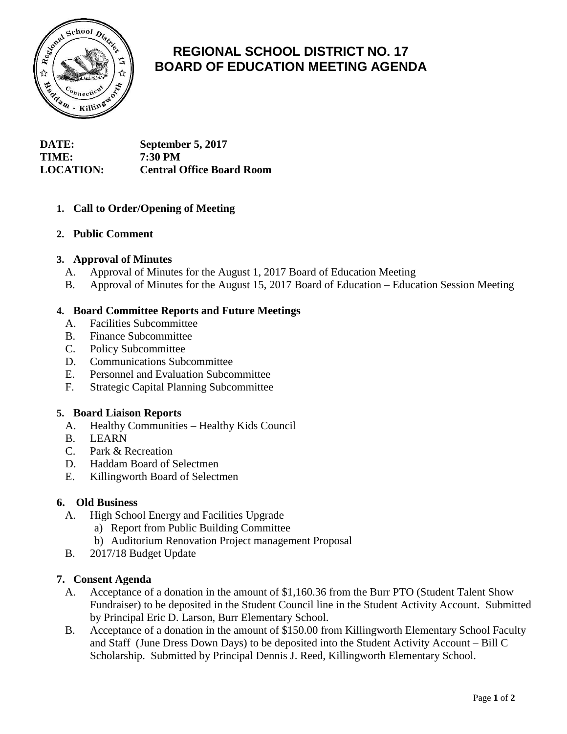

# **REGIONAL SCHOOL DISTRICT NO. 17 BOARD OF EDUCATION MEETING AGENDA**

# **DATE: September 5, 2017 TIME: 7:30 PM LOCATION: Central Office Board Room**

# **1. Call to Order/Opening of Meeting**

## **2. Public Comment**

## **3. Approval of Minutes**

- A. Approval of Minutes for the August 1, 2017 Board of Education Meeting
- B. Approval of Minutes for the August 15, 2017 Board of Education Education Session Meeting

# **4. Board Committee Reports and Future Meetings**

- A. Facilities Subcommittee
- B. Finance Subcommittee
- C. Policy Subcommittee
- D. Communications Subcommittee
- E. Personnel and Evaluation Subcommittee
- F. Strategic Capital Planning Subcommittee

## **5. Board Liaison Reports**

- A. Healthy Communities Healthy Kids Council
- B. LEARN
- C. Park & Recreation
- D. Haddam Board of Selectmen
- E. Killingworth Board of Selectmen

## **6. Old Business**

- A. High School Energy and Facilities Upgrade
	- a) Report from Public Building Committee
	- b) Auditorium Renovation Project management Proposal
- B. 2017/18 Budget Update

## **7. Consent Agenda**

- A. Acceptance of a donation in the amount of \$1,160.36 from the Burr PTO (Student Talent Show Fundraiser) to be deposited in the Student Council line in the Student Activity Account. Submitted by Principal Eric D. Larson, Burr Elementary School.
- B. Acceptance of a donation in the amount of \$150.00 from Killingworth Elementary School Faculty and Staff (June Dress Down Days) to be deposited into the Student Activity Account – Bill C Scholarship. Submitted by Principal Dennis J. Reed, Killingworth Elementary School.